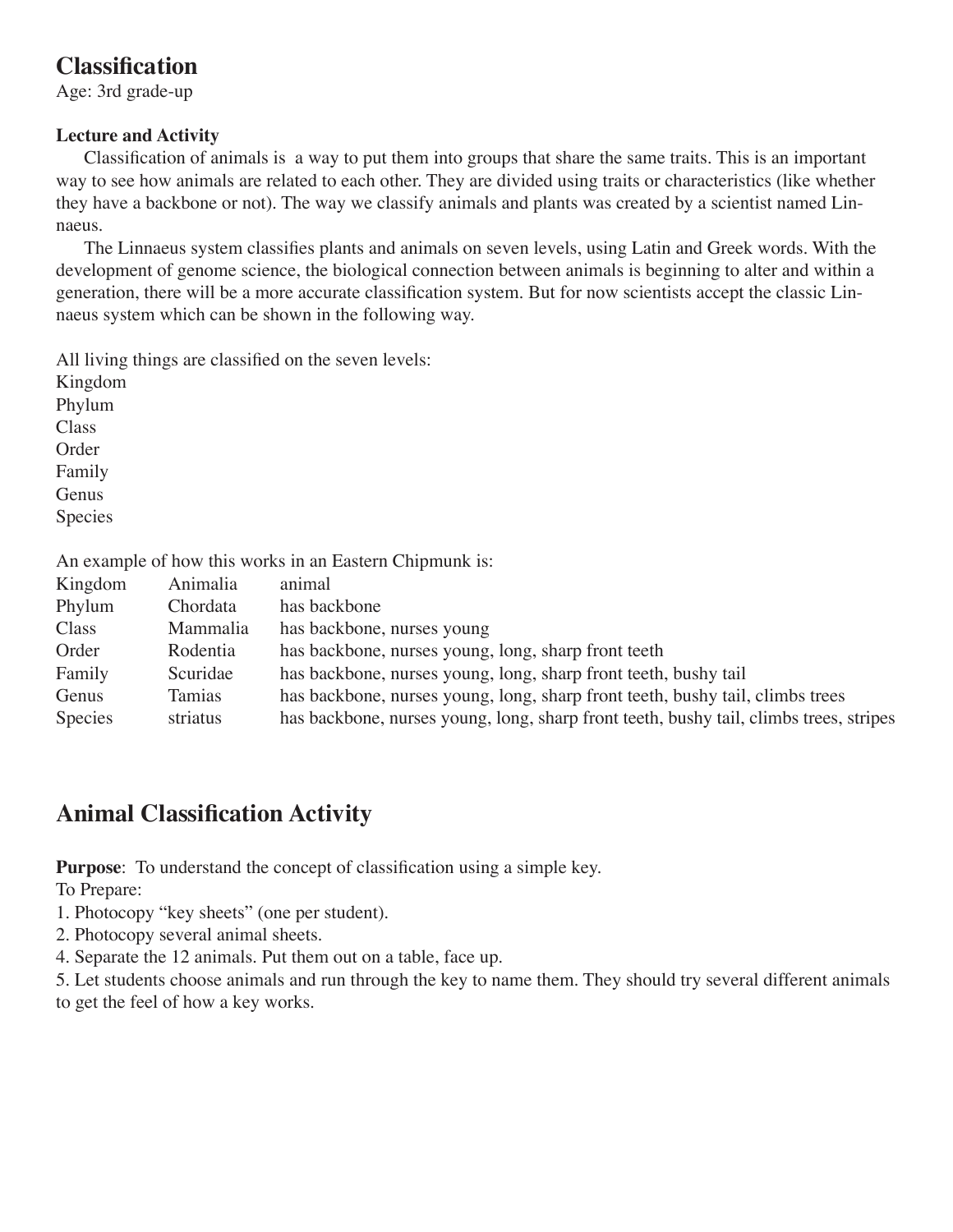## **Classification**

Age: 3rd grade-up

## **Lecture and Activity**

Classification of animals is a way to put them into groups that share the same traits. This is an important way to see how animals are related to each other. They are divided using traits or characteristics (like whether they have a backbone or not). The way we classify animals and plants was created by a scientist named Linnaeus.

The Linnaeus system classifies plants and animals on seven levels, using Latin and Greek words. With the development of genome science, the biological connection between animals is beginning to alter and within a generation, there will be a more accurate classification system. But for now scientists accept the classic Linnaeus system which can be shown in the following way.

All living things are classified on the seven levels:

| Kingdom                                                 |
|---------------------------------------------------------|
| Phylum                                                  |
| Class                                                   |
| Order                                                   |
| Family                                                  |
| Genus                                                   |
| Species                                                 |
| An example of how this works in an Eastern Chipmunk is: |
| Animalia<br>animal<br>Kingdom                           |
| $\mathbf{r}$                                            |

| Phylum  | Chordata | has backbone                                                                           |
|---------|----------|----------------------------------------------------------------------------------------|
| Class   | Mammalia | has backbone, nurses young                                                             |
| Order   | Rodentia | has backbone, nurses young, long, sharp front teeth                                    |
| Family  | Scuridae | has backbone, nurses young, long, sharp front teeth, bushy tail                        |
| Genus   | Tamias   | has backbone, nurses young, long, sharp front teeth, bushy tail, climbs trees          |
| Species | striatus | has backbone, nurses young, long, sharp front teeth, bushy tail, climbs trees, stripes |

## **Animal Classification Activity**

**Purpose**: To understand the concept of classification using a simple key.

To Prepare:

- 1. Photocopy "key sheets" (one per student).
- 2. Photocopy several animal sheets.
- 4. Separate the 12 animals. Put them out on a table, face up.

5. Let students choose animals and run through the key to name them. They should try several different animals to get the feel of how a key works.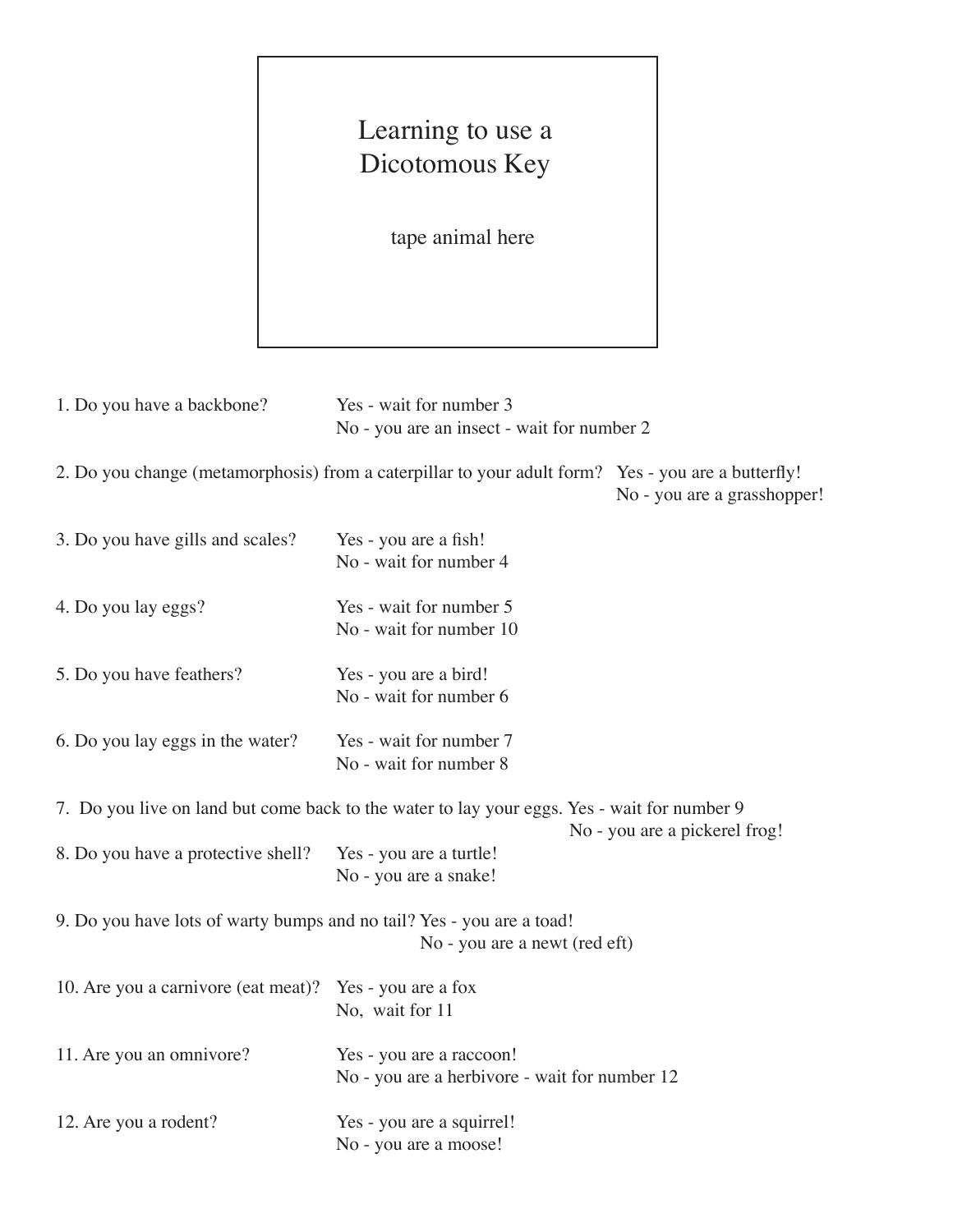## Learning to use a Dicotomous Key

tape animal here

| 1. Do you have a backbone?                                                                             | Yes - wait for number 3<br>No - you are an insect - wait for number 2                              |                               |  |  |  |
|--------------------------------------------------------------------------------------------------------|----------------------------------------------------------------------------------------------------|-------------------------------|--|--|--|
|                                                                                                        | 2. Do you change (metamorphosis) from a caterpillar to your adult form? Yes - you are a butterfly! | No - you are a grasshopper!   |  |  |  |
| 3. Do you have gills and scales?                                                                       | Yes - you are a fish!<br>No - wait for number 4                                                    |                               |  |  |  |
| 4. Do you lay eggs?                                                                                    | Yes - wait for number 5<br>No - wait for number 10                                                 |                               |  |  |  |
| 5. Do you have feathers?                                                                               | Yes - you are a bird!<br>No - wait for number 6                                                    |                               |  |  |  |
| 6. Do you lay eggs in the water?                                                                       | Yes - wait for number 7<br>No - wait for number 8                                                  |                               |  |  |  |
| 7. Do you live on land but come back to the water to lay your eggs. Yes - wait for number 9            |                                                                                                    |                               |  |  |  |
| 8. Do you have a protective shell?                                                                     | Yes - you are a turtle!<br>No - you are a snake!                                                   | No - you are a pickerel frog! |  |  |  |
| 9. Do you have lots of warty bumps and no tail? Yes - you are a toad!<br>No - you are a newt (red eft) |                                                                                                    |                               |  |  |  |
| 10. Are you a carnivore (eat meat)?                                                                    | Yes - you are a fox<br>No, wait for 11                                                             |                               |  |  |  |
| 11. Are you an omnivore?                                                                               | Yes - you are a raccoon!<br>No - you are a herbivore - wait for number 12                          |                               |  |  |  |
| 12. Are you a rodent?                                                                                  | Yes - you are a squirrel!<br>No - you are a moose!                                                 |                               |  |  |  |